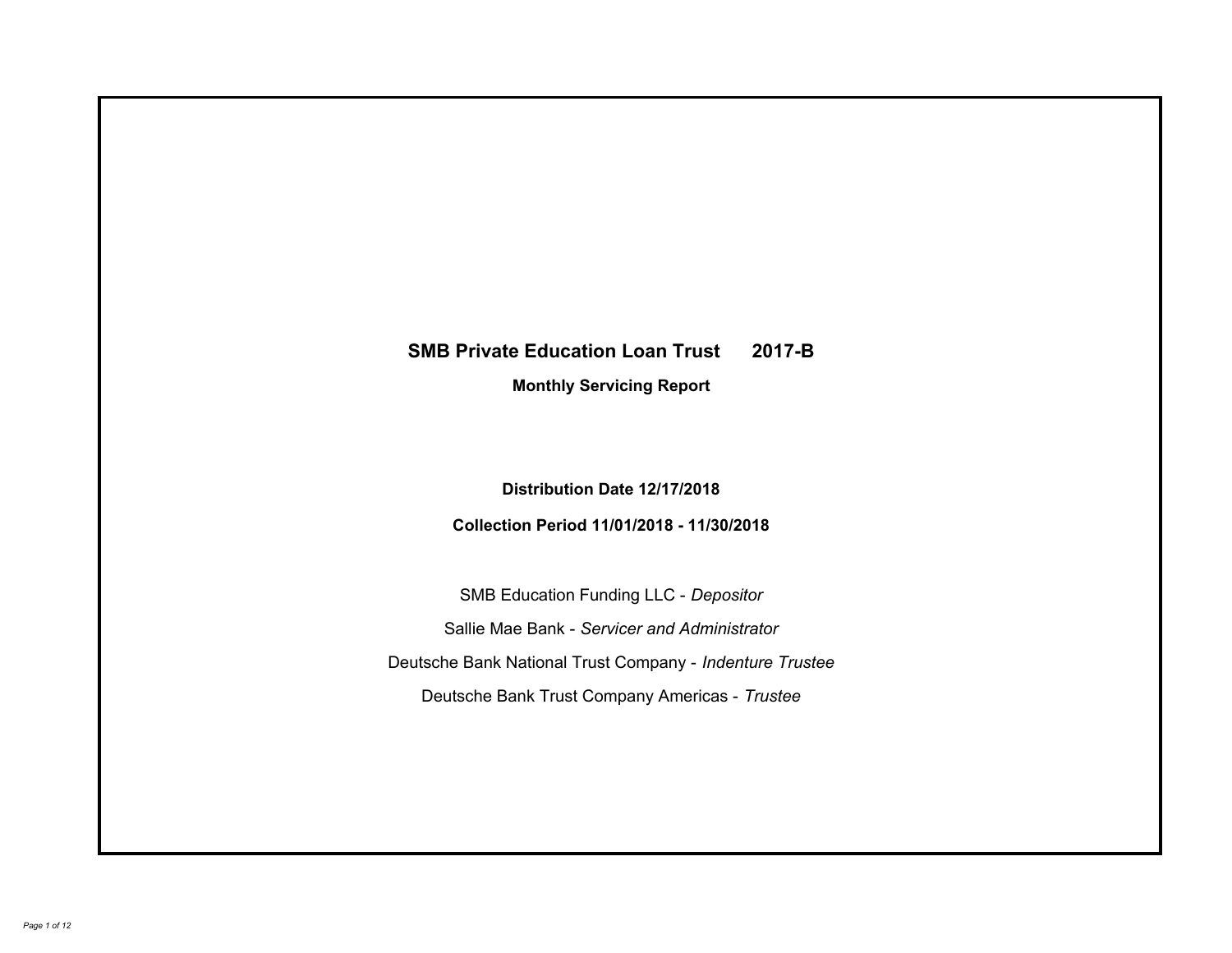# **SMB Private Education Loan Trust 2017-B Monthly Servicing Report**

**Distribution Date 12/17/2018**

**Collection Period 11/01/2018 - 11/30/2018**

SMB Education Funding LLC - *Depositor* Sallie Mae Bank - *Servicer and Administrator* Deutsche Bank National Trust Company - *Indenture Trustee* Deutsche Bank Trust Company Americas - *Trustee*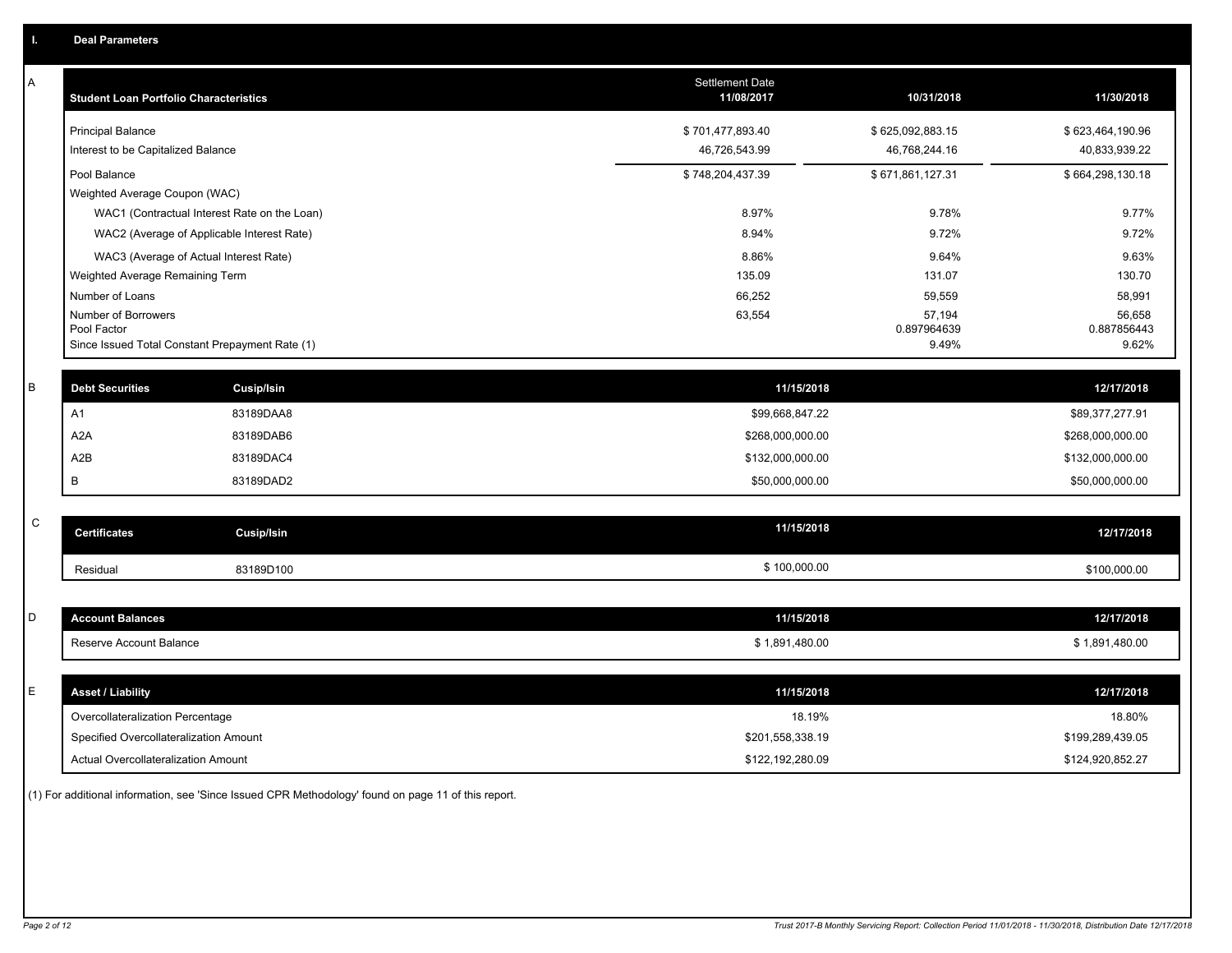| Α           | <b>Student Loan Portfolio Characteristics</b>   |                   | Settlement Date<br>11/08/2017 | 10/31/2018            | 11/30/2018            |
|-------------|-------------------------------------------------|-------------------|-------------------------------|-----------------------|-----------------------|
|             | <b>Principal Balance</b>                        |                   | \$701,477,893.40              | \$625,092,883.15      | \$623,464,190.96      |
|             | Interest to be Capitalized Balance              |                   | 46,726,543.99                 | 46,768,244.16         | 40,833,939.22         |
|             | Pool Balance                                    |                   | \$748,204,437.39              | \$671,861,127.31      | \$664,298,130.18      |
|             | Weighted Average Coupon (WAC)                   |                   |                               |                       |                       |
|             | WAC1 (Contractual Interest Rate on the Loan)    |                   | 8.97%                         | 9.78%                 | 9.77%                 |
|             | WAC2 (Average of Applicable Interest Rate)      |                   | 8.94%                         | 9.72%                 | 9.72%                 |
|             | WAC3 (Average of Actual Interest Rate)          |                   | 8.86%                         | 9.64%                 | 9.63%                 |
|             | Weighted Average Remaining Term                 |                   | 135.09                        | 131.07                | 130.70                |
|             | Number of Loans                                 |                   | 66,252                        | 59,559                | 58,991                |
|             | Number of Borrowers<br>Pool Factor              |                   | 63,554                        | 57,194<br>0.897964639 | 56,658<br>0.887856443 |
|             | Since Issued Total Constant Prepayment Rate (1) |                   |                               | 9.49%                 | 9.62%                 |
|             |                                                 |                   |                               |                       |                       |
| B           | <b>Debt Securities</b>                          | <b>Cusip/Isin</b> | 11/15/2018                    |                       | 12/17/2018            |
|             | A1                                              | 83189DAA8         | \$99,668,847.22               |                       | \$89,377,277.91       |
|             | A <sub>2</sub> A                                | 83189DAB6         | \$268,000,000.00              |                       | \$268,000,000.00      |
|             | A2B                                             | 83189DAC4         | \$132,000,000.00              |                       | \$132,000,000.00      |
|             | B                                               | 83189DAD2         | \$50,000,000.00               |                       | \$50,000,000.00       |
|             |                                                 |                   |                               |                       |                       |
| $\mathsf C$ | <b>Certificates</b>                             | Cusip/Isin        | 11/15/2018                    |                       | 12/17/2018            |
|             | Residual                                        | 83189D100         | \$100,000.00                  |                       | \$100,000.00          |
|             |                                                 |                   |                               |                       |                       |
| D           | <b>Account Balances</b>                         |                   | 11/15/2018                    |                       | 12/17/2018            |
|             | Reserve Account Balance                         |                   | \$1,891,480.00                |                       | \$1,891,480.00        |
|             |                                                 |                   |                               |                       |                       |
| Е           | <b>Asset / Liability</b>                        |                   | 11/15/2018                    |                       | 12/17/2018            |
|             | Overcollateralization Percentage                |                   | 18.19%                        |                       | 18.80%                |
|             | Specified Overcollateralization Amount          |                   | \$201,558,338.19              |                       | \$199,289,439.05      |
|             | Actual Overcollateralization Amount             |                   | \$122,192,280.09              |                       | \$124,920,852.27      |

(1) For additional information, see 'Since Issued CPR Methodology' found on page 11 of this report.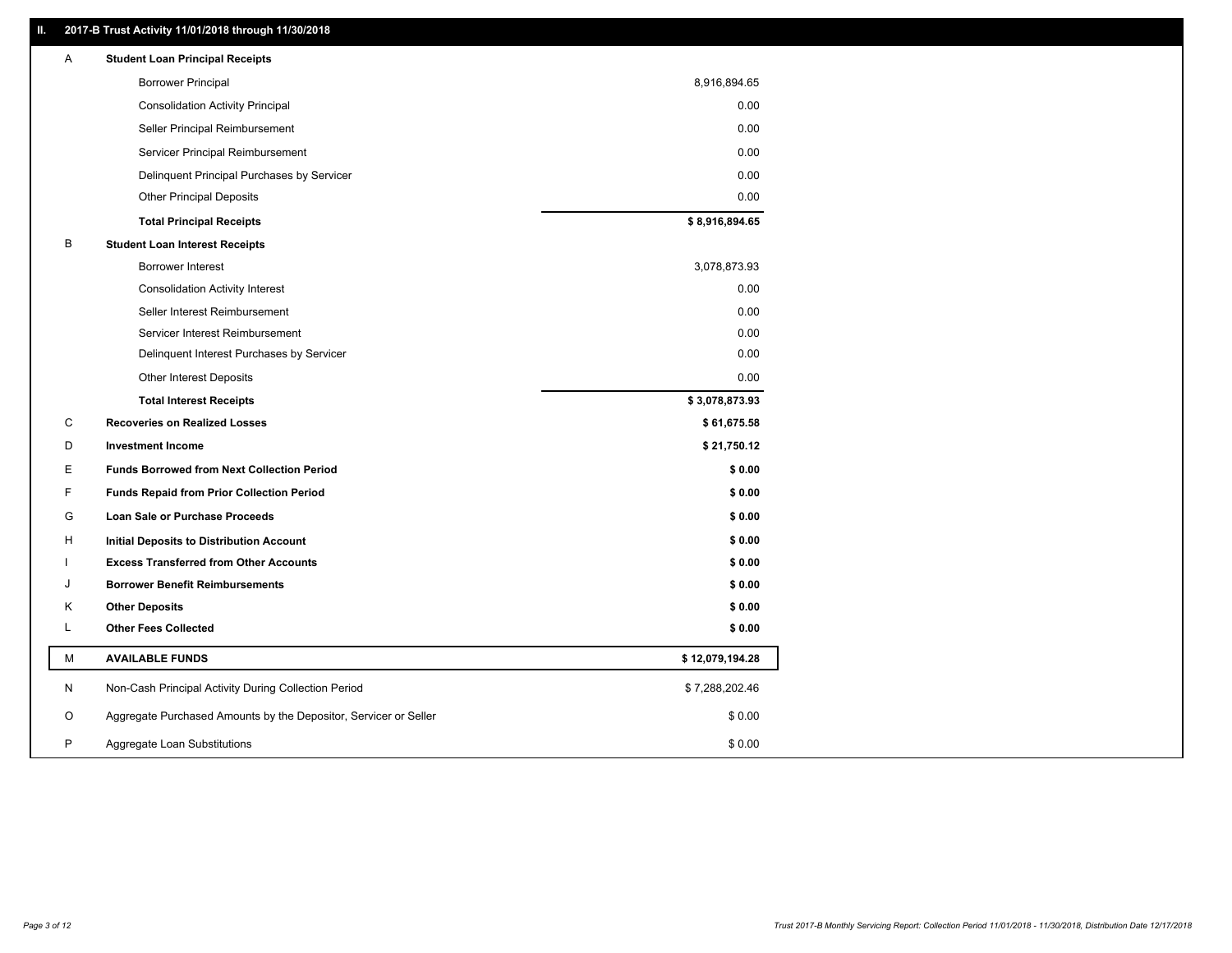# **II. 2017-B Trust Activity 11/01/2018 through 11/30/2018**

| Α | <b>Student Loan Principal Receipts</b>                           |                 |
|---|------------------------------------------------------------------|-----------------|
|   | <b>Borrower Principal</b>                                        | 8,916,894.65    |
|   | <b>Consolidation Activity Principal</b>                          | 0.00            |
|   | Seller Principal Reimbursement                                   | 0.00            |
|   | Servicer Principal Reimbursement                                 | 0.00            |
|   | Delinquent Principal Purchases by Servicer                       | 0.00            |
|   | <b>Other Principal Deposits</b>                                  | 0.00            |
|   | <b>Total Principal Receipts</b>                                  | \$8,916,894.65  |
| B | <b>Student Loan Interest Receipts</b>                            |                 |
|   | <b>Borrower Interest</b>                                         | 3,078,873.93    |
|   | <b>Consolidation Activity Interest</b>                           | 0.00            |
|   | Seller Interest Reimbursement                                    | 0.00            |
|   | Servicer Interest Reimbursement                                  | 0.00            |
|   | Delinquent Interest Purchases by Servicer                        | 0.00            |
|   | <b>Other Interest Deposits</b>                                   | 0.00            |
|   | <b>Total Interest Receipts</b>                                   | \$3,078,873.93  |
| С | <b>Recoveries on Realized Losses</b>                             | \$61,675.58     |
| D | <b>Investment Income</b>                                         | \$21,750.12     |
| Е | <b>Funds Borrowed from Next Collection Period</b>                | \$0.00          |
| F | <b>Funds Repaid from Prior Collection Period</b>                 | \$0.00          |
| G | Loan Sale or Purchase Proceeds                                   | \$0.00          |
| H | Initial Deposits to Distribution Account                         | \$0.00          |
|   | <b>Excess Transferred from Other Accounts</b>                    | \$0.00          |
| J | <b>Borrower Benefit Reimbursements</b>                           | \$0.00          |
| Κ | <b>Other Deposits</b>                                            | \$0.00          |
| Г | <b>Other Fees Collected</b>                                      | \$0.00          |
| М | <b>AVAILABLE FUNDS</b>                                           | \$12,079,194.28 |
| N | Non-Cash Principal Activity During Collection Period             | \$7,288,202.46  |
| O | Aggregate Purchased Amounts by the Depositor, Servicer or Seller | \$0.00          |
| P |                                                                  |                 |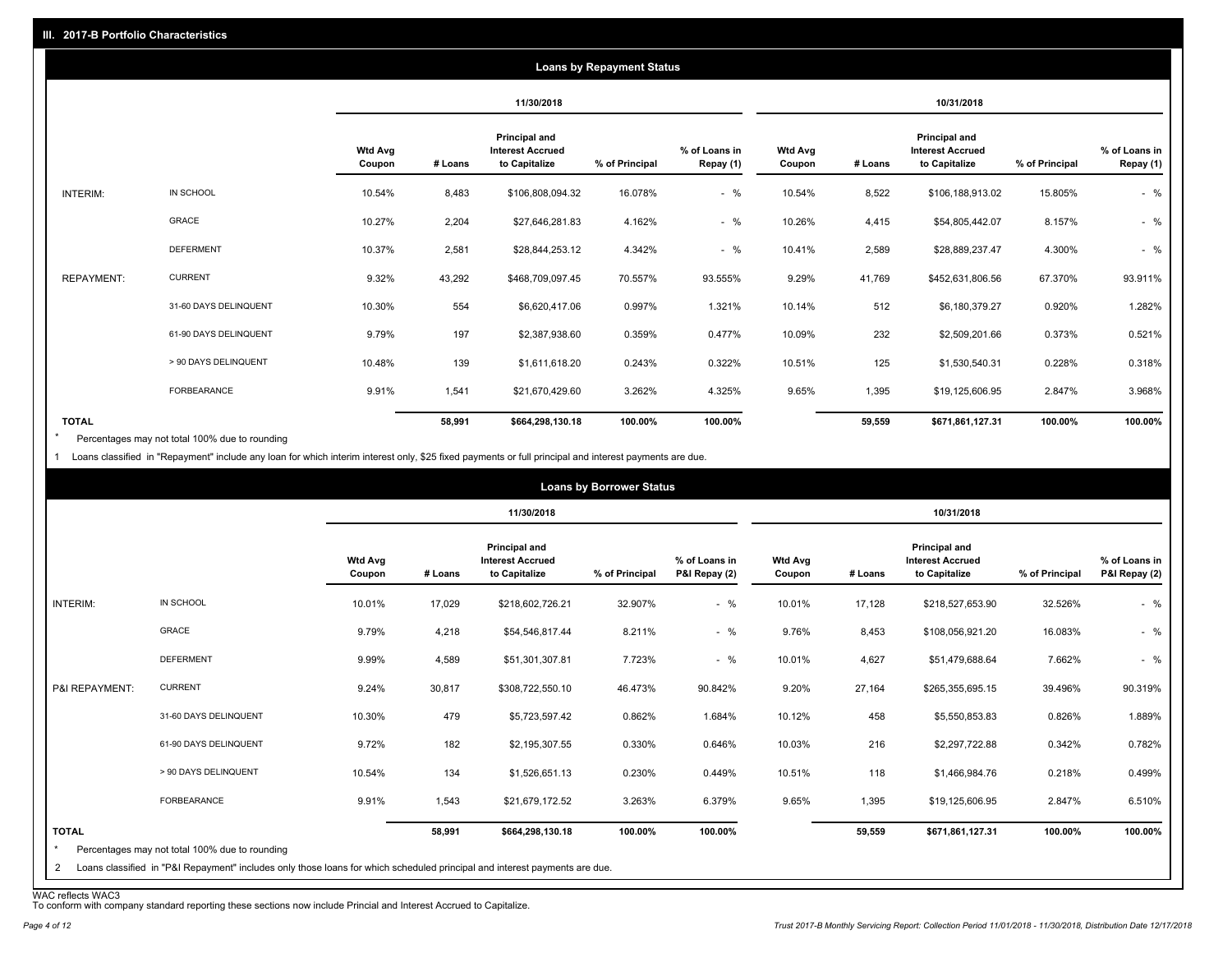|                   |                       |                          |         |                                                           | <b>Loans by Repayment Status</b> |                            |                          |         |                                                                  |                |                            |
|-------------------|-----------------------|--------------------------|---------|-----------------------------------------------------------|----------------------------------|----------------------------|--------------------------|---------|------------------------------------------------------------------|----------------|----------------------------|
|                   |                       |                          |         | 11/30/2018                                                |                                  |                            |                          |         | 10/31/2018                                                       |                |                            |
|                   |                       | <b>Wtd Avg</b><br>Coupon | # Loans | Principal and<br><b>Interest Accrued</b><br>to Capitalize | % of Principal                   | % of Loans in<br>Repay (1) | <b>Wtd Avg</b><br>Coupon | # Loans | <b>Principal and</b><br><b>Interest Accrued</b><br>to Capitalize | % of Principal | % of Loans in<br>Repay (1) |
| INTERIM:          | IN SCHOOL             | 10.54%                   | 8,483   | \$106,808,094.32                                          | 16.078%                          | $-$ %                      | 10.54%                   | 8,522   | \$106,188,913.02                                                 | 15.805%        | $-$ %                      |
|                   | GRACE                 | 10.27%                   | 2,204   | \$27,646,281.83                                           | 4.162%                           | $-$ %                      | 10.26%                   | 4,415   | \$54,805,442.07                                                  | 8.157%         | $-$ %                      |
|                   | <b>DEFERMENT</b>      | 10.37%                   | 2,581   | \$28,844,253.12                                           | 4.342%                           | $-$ %                      | 10.41%                   | 2,589   | \$28,889,237.47                                                  | 4.300%         | $-$ %                      |
| <b>REPAYMENT:</b> | <b>CURRENT</b>        | 9.32%                    | 43,292  | \$468,709,097.45                                          | 70.557%                          | 93.555%                    | 9.29%                    | 41,769  | \$452,631,806.56                                                 | 67.370%        | 93.911%                    |
|                   | 31-60 DAYS DELINQUENT | 10.30%                   | 554     | \$6,620,417.06                                            | 0.997%                           | 1.321%                     | 10.14%                   | 512     | \$6,180,379.27                                                   | 0.920%         | 1.282%                     |
|                   | 61-90 DAYS DELINQUENT | 9.79%                    | 197     | \$2,387,938.60                                            | 0.359%                           | 0.477%                     | 10.09%                   | 232     | \$2,509,201.66                                                   | 0.373%         | 0.521%                     |
|                   | > 90 DAYS DELINQUENT  | 10.48%                   | 139     | \$1,611,618.20                                            | 0.243%                           | 0.322%                     | 10.51%                   | 125     | \$1,530,540.31                                                   | 0.228%         | 0.318%                     |
|                   | FORBEARANCE           | 9.91%                    | 1,541   | \$21,670,429.60                                           | 3.262%                           | 4.325%                     | 9.65%                    | 1,395   | \$19,125,606.95                                                  | 2.847%         | 3.968%                     |
| <b>TOTAL</b>      |                       |                          | 58,991  | \$664,298,130.18                                          | 100.00%                          | 100.00%                    |                          | 59,559  | \$671,861,127.31                                                 | 100.00%        | 100.00%                    |

Percentages may not total 100% due to rounding \*

1 Loans classified in "Repayment" include any loan for which interim interest only, \$25 fixed payments or full principal and interest payments are due.

|                         |                                                                                                                            |                          |         |                                                           | <b>Loans by Borrower Status</b> |                                |                          |         |                                                                  |                |                                |
|-------------------------|----------------------------------------------------------------------------------------------------------------------------|--------------------------|---------|-----------------------------------------------------------|---------------------------------|--------------------------------|--------------------------|---------|------------------------------------------------------------------|----------------|--------------------------------|
|                         |                                                                                                                            |                          |         | 11/30/2018                                                |                                 |                                |                          |         | 10/31/2018                                                       |                |                                |
|                         |                                                                                                                            | <b>Wtd Avg</b><br>Coupon | # Loans | Principal and<br><b>Interest Accrued</b><br>to Capitalize | % of Principal                  | % of Loans in<br>P&I Repay (2) | <b>Wtd Avg</b><br>Coupon | # Loans | <b>Principal and</b><br><b>Interest Accrued</b><br>to Capitalize | % of Principal | % of Loans in<br>P&I Repay (2) |
| INTERIM:                | IN SCHOOL                                                                                                                  | 10.01%                   | 17,029  | \$218,602,726.21                                          | 32.907%                         | $-$ %                          | 10.01%                   | 17,128  | \$218,527,653.90                                                 | 32.526%        | $-$ %                          |
|                         | GRACE                                                                                                                      | 9.79%                    | 4,218   | \$54,546,817.44                                           | 8.211%                          | $-$ %                          | 9.76%                    | 8,453   | \$108,056,921.20                                                 | 16.083%        | $-$ %                          |
|                         | <b>DEFERMENT</b>                                                                                                           | 9.99%                    | 4,589   | \$51,301,307.81                                           | 7.723%                          | $-$ %                          | 10.01%                   | 4,627   | \$51,479,688.64                                                  | 7.662%         | $-$ %                          |
| P&I REPAYMENT:          | <b>CURRENT</b>                                                                                                             | 9.24%                    | 30,817  | \$308,722,550.10                                          | 46.473%                         | 90.842%                        | 9.20%                    | 27,164  | \$265,355,695.15                                                 | 39.496%        | 90.319%                        |
|                         | 31-60 DAYS DELINQUENT                                                                                                      | 10.30%                   | 479     | \$5,723,597.42                                            | 0.862%                          | 1.684%                         | 10.12%                   | 458     | \$5,550,853.83                                                   | 0.826%         | 1.889%                         |
|                         | 61-90 DAYS DELINQUENT                                                                                                      | 9.72%                    | 182     | \$2,195,307.55                                            | 0.330%                          | 0.646%                         | 10.03%                   | 216     | \$2,297,722.88                                                   | 0.342%         | 0.782%                         |
|                         | > 90 DAYS DELINQUENT                                                                                                       | 10.54%                   | 134     | \$1,526,651.13                                            | 0.230%                          | 0.449%                         | 10.51%                   | 118     | \$1,466,984.76                                                   | 0.218%         | 0.499%                         |
|                         | FORBEARANCE                                                                                                                | 9.91%                    | 1,543   | \$21,679,172.52                                           | 3.263%                          | 6.379%                         | 9.65%                    | 1,395   | \$19,125,606.95                                                  | 2.847%         | 6.510%                         |
| <b>TOTAL</b><br>$\star$ | Percentages may not total 100% due to rounding                                                                             |                          | 58,991  | \$664,298,130.18                                          | 100.00%                         | 100.00%                        |                          | 59,559  | \$671,861,127.31                                                 | 100.00%        | 100.00%                        |
| $\mathbf{2}$            | Loans classified in "P&I Repayment" includes only those loans for which scheduled principal and interest payments are due. |                          |         |                                                           |                                 |                                |                          |         |                                                                  |                |                                |

WAC reflects WAC3 To conform with company standard reporting these sections now include Princial and Interest Accrued to Capitalize.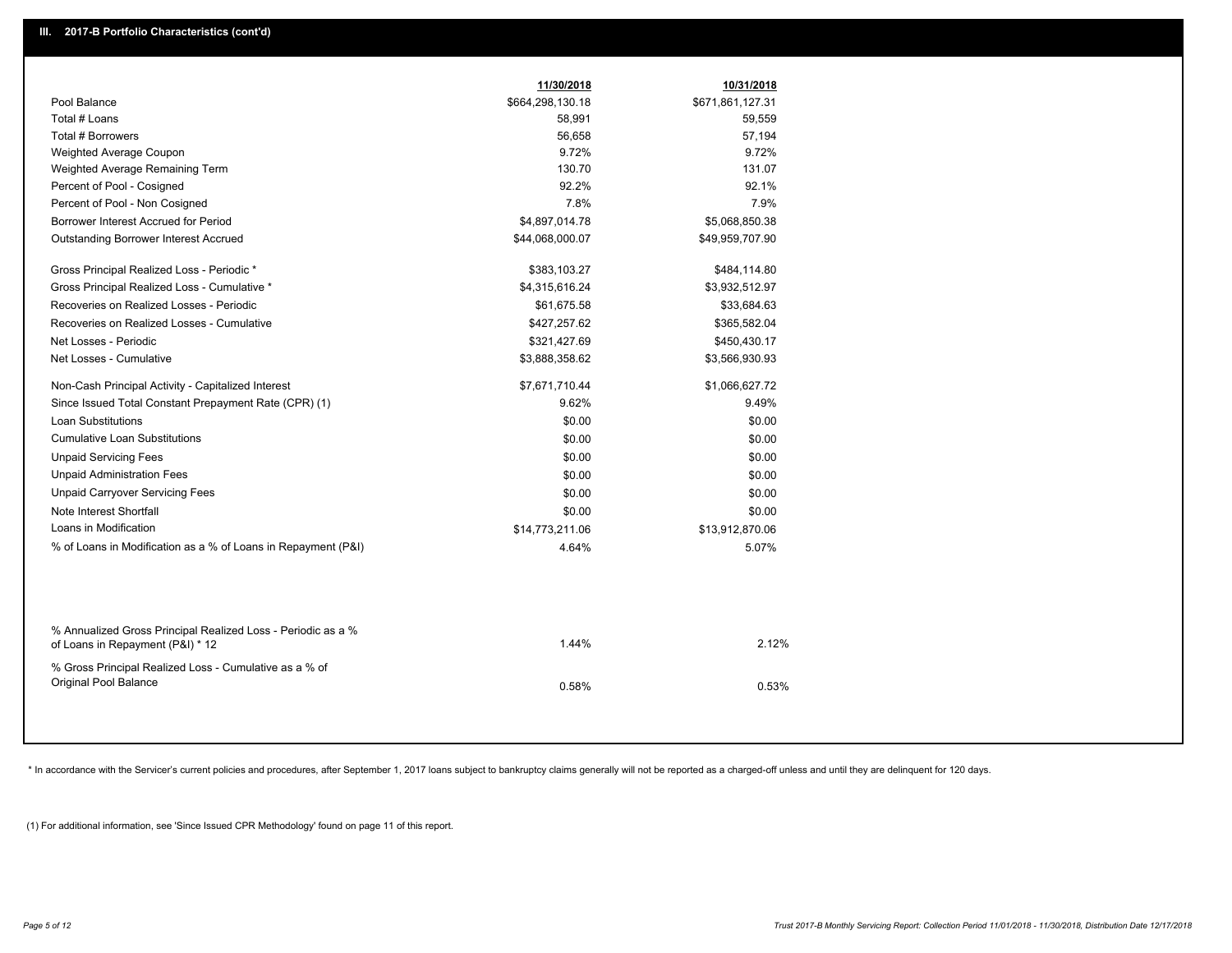|                                                                                                  | 11/30/2018       | 10/31/2018       |
|--------------------------------------------------------------------------------------------------|------------------|------------------|
| Pool Balance                                                                                     | \$664,298,130.18 | \$671,861,127.31 |
| Total # Loans                                                                                    | 58,991           | 59,559           |
| Total # Borrowers                                                                                | 56,658           | 57,194           |
| Weighted Average Coupon                                                                          | 9.72%            | 9.72%            |
| Weighted Average Remaining Term                                                                  | 130.70           | 131.07           |
| Percent of Pool - Cosigned                                                                       | 92.2%            | 92.1%            |
| Percent of Pool - Non Cosigned                                                                   | 7.8%             | 7.9%             |
| Borrower Interest Accrued for Period                                                             | \$4,897,014.78   | \$5,068,850.38   |
| Outstanding Borrower Interest Accrued                                                            | \$44,068,000.07  | \$49,959,707.90  |
| Gross Principal Realized Loss - Periodic *                                                       | \$383,103.27     | \$484,114.80     |
| Gross Principal Realized Loss - Cumulative *                                                     | \$4,315,616.24   | \$3,932,512.97   |
| Recoveries on Realized Losses - Periodic                                                         | \$61,675.58      | \$33,684.63      |
| Recoveries on Realized Losses - Cumulative                                                       | \$427,257.62     | \$365,582.04     |
| Net Losses - Periodic                                                                            | \$321,427.69     | \$450,430.17     |
| Net Losses - Cumulative                                                                          | \$3,888,358.62   | \$3,566,930.93   |
| Non-Cash Principal Activity - Capitalized Interest                                               | \$7,671,710.44   | \$1,066,627.72   |
| Since Issued Total Constant Prepayment Rate (CPR) (1)                                            | 9.62%            | 9.49%            |
| Loan Substitutions                                                                               | \$0.00           | \$0.00           |
| <b>Cumulative Loan Substitutions</b>                                                             | \$0.00           | \$0.00           |
| <b>Unpaid Servicing Fees</b>                                                                     | \$0.00           | \$0.00           |
| <b>Unpaid Administration Fees</b>                                                                | \$0.00           | \$0.00           |
| <b>Unpaid Carryover Servicing Fees</b>                                                           | \$0.00           | \$0.00           |
| Note Interest Shortfall                                                                          | \$0.00           | \$0.00           |
| Loans in Modification                                                                            | \$14,773,211.06  | \$13,912,870.06  |
| % of Loans in Modification as a % of Loans in Repayment (P&I)                                    | 4.64%            | 5.07%            |
|                                                                                                  |                  |                  |
| % Annualized Gross Principal Realized Loss - Periodic as a %<br>of Loans in Repayment (P&I) * 12 | 1.44%            | 2.12%            |
| % Gross Principal Realized Loss - Cumulative as a % of<br>Original Pool Balance                  | 0.58%            | 0.53%            |
|                                                                                                  |                  |                  |

\* In accordance with the Servicer's current policies and procedures, after September 1, 2017 loans subject to bankruptcy claims generally will not be reported as a charged-off unless and until they are delinquent for 120 d

(1) For additional information, see 'Since Issued CPR Methodology' found on page 11 of this report.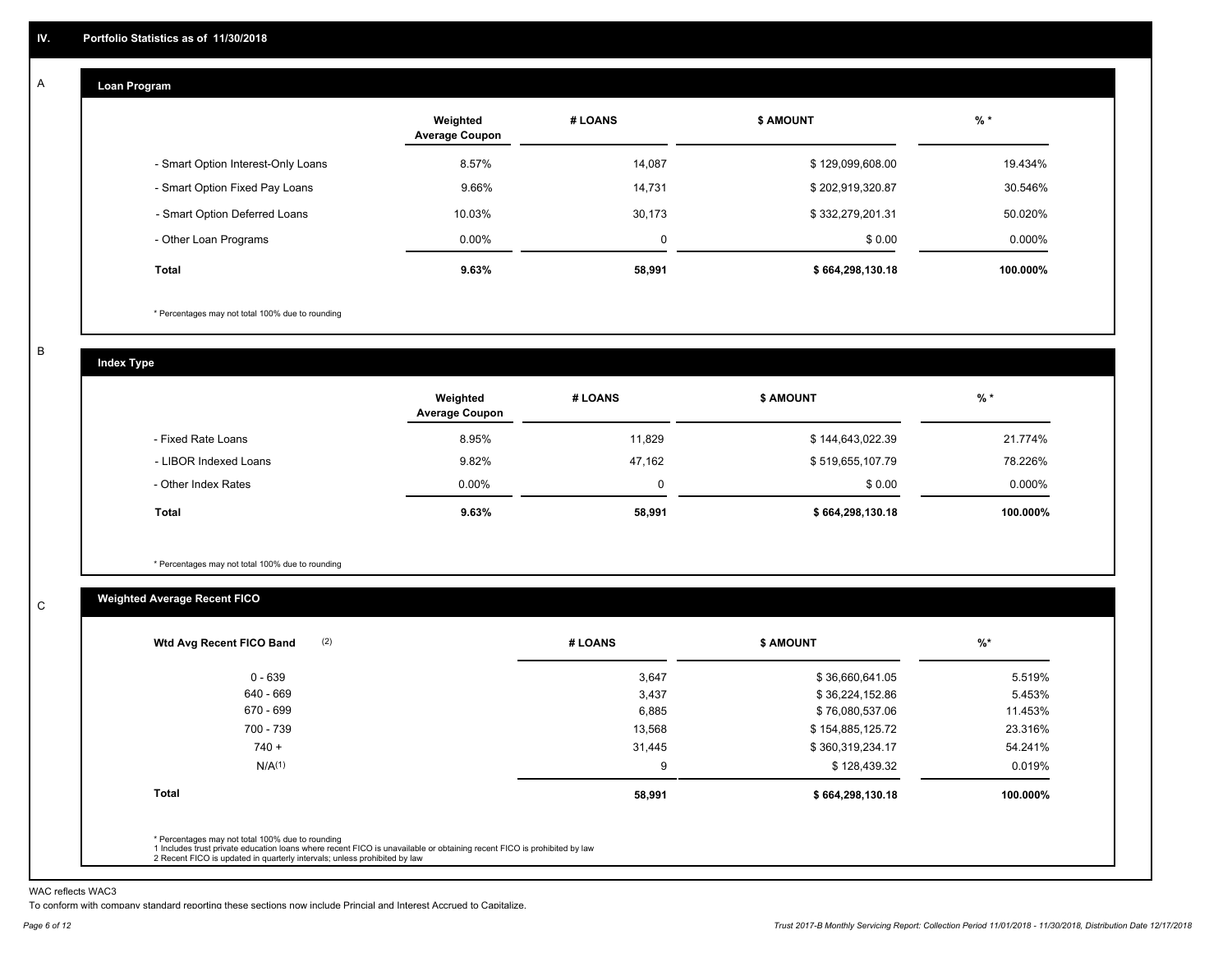#### **Loan Program**  A

|                                    | Weighted<br><b>Average Coupon</b> | # LOANS     | <b>\$ AMOUNT</b> | $%$ *     |
|------------------------------------|-----------------------------------|-------------|------------------|-----------|
| - Smart Option Interest-Only Loans | 8.57%                             | 14.087      | \$129,099,608.00 | 19.434%   |
| - Smart Option Fixed Pay Loans     | 9.66%                             | 14,731      | \$202,919,320.87 | 30.546%   |
| - Smart Option Deferred Loans      | 10.03%                            | 30,173      | \$332,279,201.31 | 50.020%   |
| - Other Loan Programs              | $0.00\%$                          | $\mathbf 0$ | \$0.00           | $0.000\%$ |
| <b>Total</b>                       | 9.63%                             | 58,991      | \$664,298,130.18 | 100.000%  |

\* Percentages may not total 100% due to rounding

B

C

**Index Type**

|                       | Weighted<br><b>Average Coupon</b> | # LOANS     | <b>\$ AMOUNT</b> | $%$ *     |
|-----------------------|-----------------------------------|-------------|------------------|-----------|
| - Fixed Rate Loans    | 8.95%                             | 11.829      | \$144,643,022.39 | 21.774%   |
| - LIBOR Indexed Loans | 9.82%                             | 47,162      | \$519,655,107.79 | 78.226%   |
| - Other Index Rates   | $0.00\%$                          | $\mathbf 0$ | \$0.00           | $0.000\%$ |
| Total                 | 9.63%                             | 58,991      | \$664,298,130.18 | 100.000%  |

\* Percentages may not total 100% due to rounding

# **Weighted Average Recent FICO**

| 3,647<br>3,437<br>6,885 | \$36,660,641.05<br>\$36,224,152.86<br>\$76,080,537.06                                                                   | 5.519%<br>5.453%<br>11.453% |
|-------------------------|-------------------------------------------------------------------------------------------------------------------------|-----------------------------|
|                         |                                                                                                                         |                             |
|                         |                                                                                                                         |                             |
|                         |                                                                                                                         |                             |
| 13,568                  | \$154,885,125.72                                                                                                        | 23.316%                     |
| 31,445                  | \$360,319,234.17                                                                                                        | 54.241%                     |
| 9                       | \$128,439.32                                                                                                            | 0.019%                      |
| 58,991                  | \$664,298,130.18                                                                                                        | 100.000%                    |
|                         |                                                                                                                         |                             |
|                         | 1 Includes trust private education loans where recent FICO is unavailable or obtaining recent FICO is prohibited by law |                             |

WAC reflects WAC3

To conform with company standard reporting these sections now include Princial and Interest Accrued to Capitalize.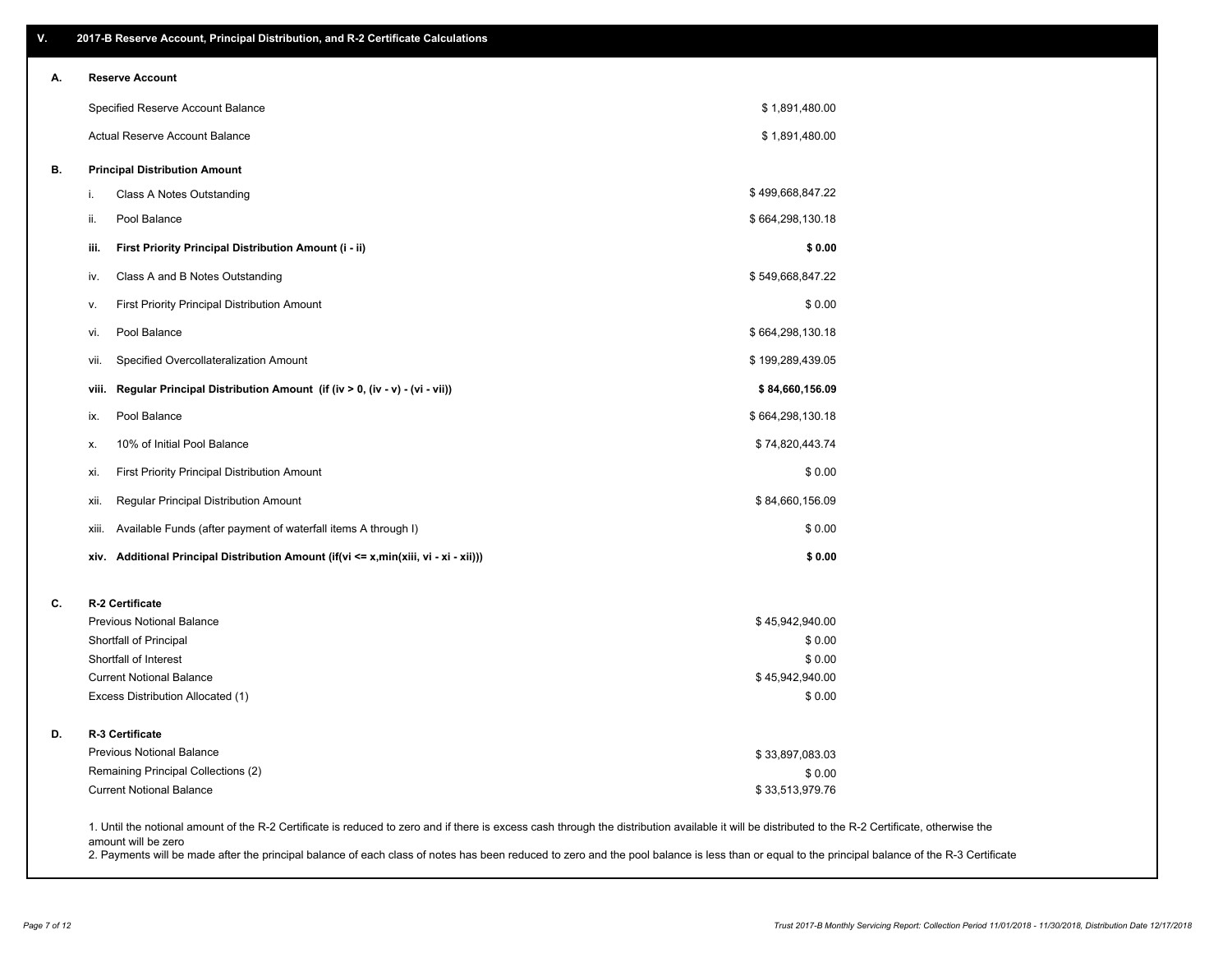| V. | 2017-B Reserve Account, Principal Distribution, and R-2 Certificate Calculations                                                                                                                   |                           |  |
|----|----------------------------------------------------------------------------------------------------------------------------------------------------------------------------------------------------|---------------------------|--|
| А. | <b>Reserve Account</b>                                                                                                                                                                             |                           |  |
|    | Specified Reserve Account Balance                                                                                                                                                                  | \$1,891,480.00            |  |
|    | Actual Reserve Account Balance                                                                                                                                                                     | \$1,891,480.00            |  |
| В. | <b>Principal Distribution Amount</b>                                                                                                                                                               |                           |  |
|    | Class A Notes Outstanding<br>i.                                                                                                                                                                    | \$499,668,847.22          |  |
|    | Pool Balance<br>ii.                                                                                                                                                                                | \$664,298,130.18          |  |
|    | First Priority Principal Distribution Amount (i - ii)<br>iii.                                                                                                                                      | \$0.00                    |  |
|    | Class A and B Notes Outstanding<br>iv.                                                                                                                                                             | \$549,668,847.22          |  |
|    | First Priority Principal Distribution Amount<br>ν.                                                                                                                                                 | \$0.00                    |  |
|    | Pool Balance<br>vi.                                                                                                                                                                                | \$664,298,130.18          |  |
|    | Specified Overcollateralization Amount<br>vii.                                                                                                                                                     | \$199,289,439.05          |  |
|    | Regular Principal Distribution Amount (if (iv > 0, (iv - v) - (vi - vii))<br>viii.                                                                                                                 | \$84,660,156.09           |  |
|    | Pool Balance<br>ix.                                                                                                                                                                                | \$664,298,130.18          |  |
|    | 10% of Initial Pool Balance<br>х.                                                                                                                                                                  | \$74,820,443.74           |  |
|    | First Priority Principal Distribution Amount<br>xi.                                                                                                                                                | \$0.00                    |  |
|    | Regular Principal Distribution Amount<br>xii.                                                                                                                                                      | \$84,660,156.09           |  |
|    | Available Funds (after payment of waterfall items A through I)<br>xiii.                                                                                                                            | \$0.00                    |  |
|    | xiv. Additional Principal Distribution Amount (if(vi <= x,min(xiii, vi - xi - xii)))                                                                                                               | \$0.00                    |  |
| C. | R-2 Certificate                                                                                                                                                                                    |                           |  |
|    | Previous Notional Balance                                                                                                                                                                          | \$45,942,940.00           |  |
|    | Shortfall of Principal                                                                                                                                                                             | \$0.00                    |  |
|    | Shortfall of Interest                                                                                                                                                                              | \$0.00                    |  |
|    | <b>Current Notional Balance</b><br>Excess Distribution Allocated (1)                                                                                                                               | \$45,942,940.00<br>\$0.00 |  |
| D. | <b>R-3 Certificate</b>                                                                                                                                                                             |                           |  |
|    | Previous Notional Balance                                                                                                                                                                          | \$33,897,083.03           |  |
|    | Remaining Principal Collections (2)                                                                                                                                                                | \$0.00                    |  |
|    | <b>Current Notional Balance</b>                                                                                                                                                                    | \$33,513,979.76           |  |
|    | 1. Until the notional amount of the R-2 Certificate is reduced to zero and if there is excess cash through the distribution available it will be distributed to the R-2 Certificate, otherwise the |                           |  |

amount will be zero

2. Payments will be made after the principal balance of each class of notes has been reduced to zero and the pool balance is less than or equal to the principal balance of the R-3 Certificate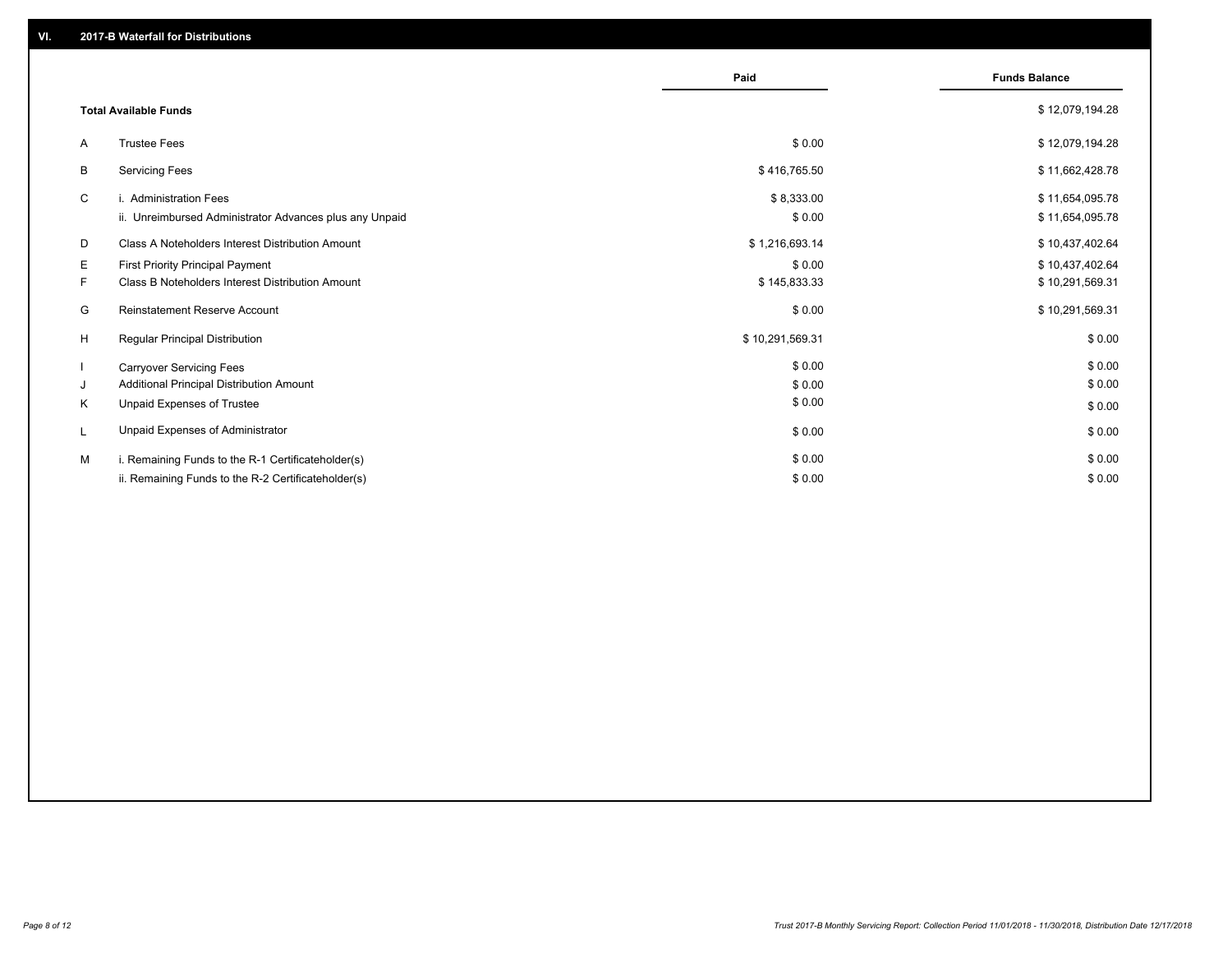|    |                                                         | Paid            | <b>Funds Balance</b> |
|----|---------------------------------------------------------|-----------------|----------------------|
|    | <b>Total Available Funds</b>                            |                 | \$12,079,194.28      |
| A  | <b>Trustee Fees</b>                                     | \$0.00          | \$12,079,194.28      |
| B  | <b>Servicing Fees</b>                                   | \$416,765.50    | \$11,662,428.78      |
| C  | i. Administration Fees                                  | \$8,333.00      | \$11,654,095.78      |
|    | ii. Unreimbursed Administrator Advances plus any Unpaid | \$0.00          | \$11,654,095.78      |
| D  | Class A Noteholders Interest Distribution Amount        | \$1,216,693.14  | \$10,437,402.64      |
| Е  | <b>First Priority Principal Payment</b>                 | \$0.00          | \$10,437,402.64      |
| F. | <b>Class B Noteholders Interest Distribution Amount</b> | \$145,833.33    | \$10,291,569.31      |
| G  | <b>Reinstatement Reserve Account</b>                    | \$0.00          | \$10,291,569.31      |
| H  | Regular Principal Distribution                          | \$10,291,569.31 | \$0.00               |
|    | <b>Carryover Servicing Fees</b>                         | \$0.00          | \$0.00               |
| J  | Additional Principal Distribution Amount                | \$0.00          | \$0.00               |
| Κ  | Unpaid Expenses of Trustee                              | \$0.00          | \$0.00               |
| L  | Unpaid Expenses of Administrator                        | \$0.00          | \$0.00               |
| м  | i. Remaining Funds to the R-1 Certificateholder(s)      | \$0.00          | \$0.00               |
|    | ii. Remaining Funds to the R-2 Certificateholder(s)     | \$0.00          | \$0.00               |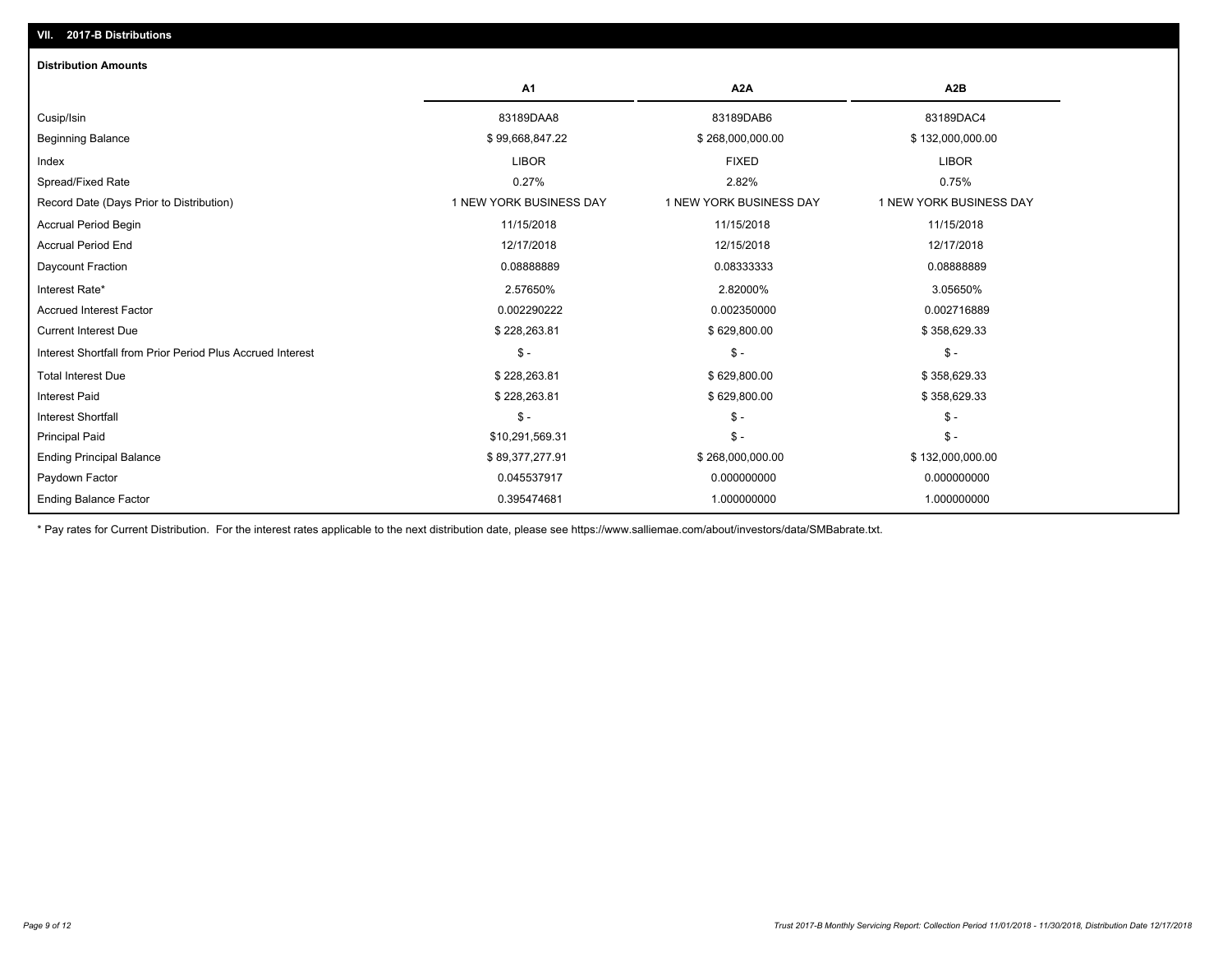| <b>Distribution Amounts</b>                                |                         |                         |                         |
|------------------------------------------------------------|-------------------------|-------------------------|-------------------------|
|                                                            | A <sub>1</sub>          | A <sub>2</sub> A        | A <sub>2</sub> B        |
| Cusip/Isin                                                 | 83189DAA8               | 83189DAB6               | 83189DAC4               |
| <b>Beginning Balance</b>                                   | \$99,668,847.22         | \$268,000,000.00        | \$132,000,000.00        |
| Index                                                      | <b>LIBOR</b>            | <b>FIXED</b>            | <b>LIBOR</b>            |
| Spread/Fixed Rate                                          | 0.27%                   | 2.82%                   | 0.75%                   |
| Record Date (Days Prior to Distribution)                   | 1 NEW YORK BUSINESS DAY | 1 NEW YORK BUSINESS DAY | 1 NEW YORK BUSINESS DAY |
| <b>Accrual Period Begin</b>                                | 11/15/2018              | 11/15/2018              | 11/15/2018              |
| <b>Accrual Period End</b>                                  | 12/17/2018              | 12/15/2018              | 12/17/2018              |
| Daycount Fraction                                          | 0.08888889              | 0.08333333              | 0.08888889              |
| Interest Rate*                                             | 2.57650%                | 2.82000%                | 3.05650%                |
| <b>Accrued Interest Factor</b>                             | 0.002290222             | 0.002350000             | 0.002716889             |
| <b>Current Interest Due</b>                                | \$228,263.81            | \$629,800.00            | \$358,629.33            |
| Interest Shortfall from Prior Period Plus Accrued Interest | $\mathsf{\$}$ -         | $\frac{2}{3}$ -         | $\mathcal{S}$ -         |
| <b>Total Interest Due</b>                                  | \$228,263.81            | \$629,800.00            | \$358,629.33            |
| <b>Interest Paid</b>                                       | \$228,263.81            | \$629,800.00            | \$358,629.33            |
| <b>Interest Shortfall</b>                                  | $\mathsf{\$}$ -         | $\mathsf{\$}$ -         | $\mathsf{\$}$ -         |
| <b>Principal Paid</b>                                      | \$10,291,569.31         | $\mathsf{\$}$ -         | $\mathsf{\$}$ -         |
| <b>Ending Principal Balance</b>                            | \$89,377,277.91         | \$268,000,000.00        | \$132,000,000.00        |
| Paydown Factor                                             | 0.045537917             | 0.000000000             | 0.000000000             |
| <b>Ending Balance Factor</b>                               | 0.395474681             | 1.000000000             | 1.000000000             |

\* Pay rates for Current Distribution. For the interest rates applicable to the next distribution date, please see https://www.salliemae.com/about/investors/data/SMBabrate.txt.

**VII. 2017-B Distributions**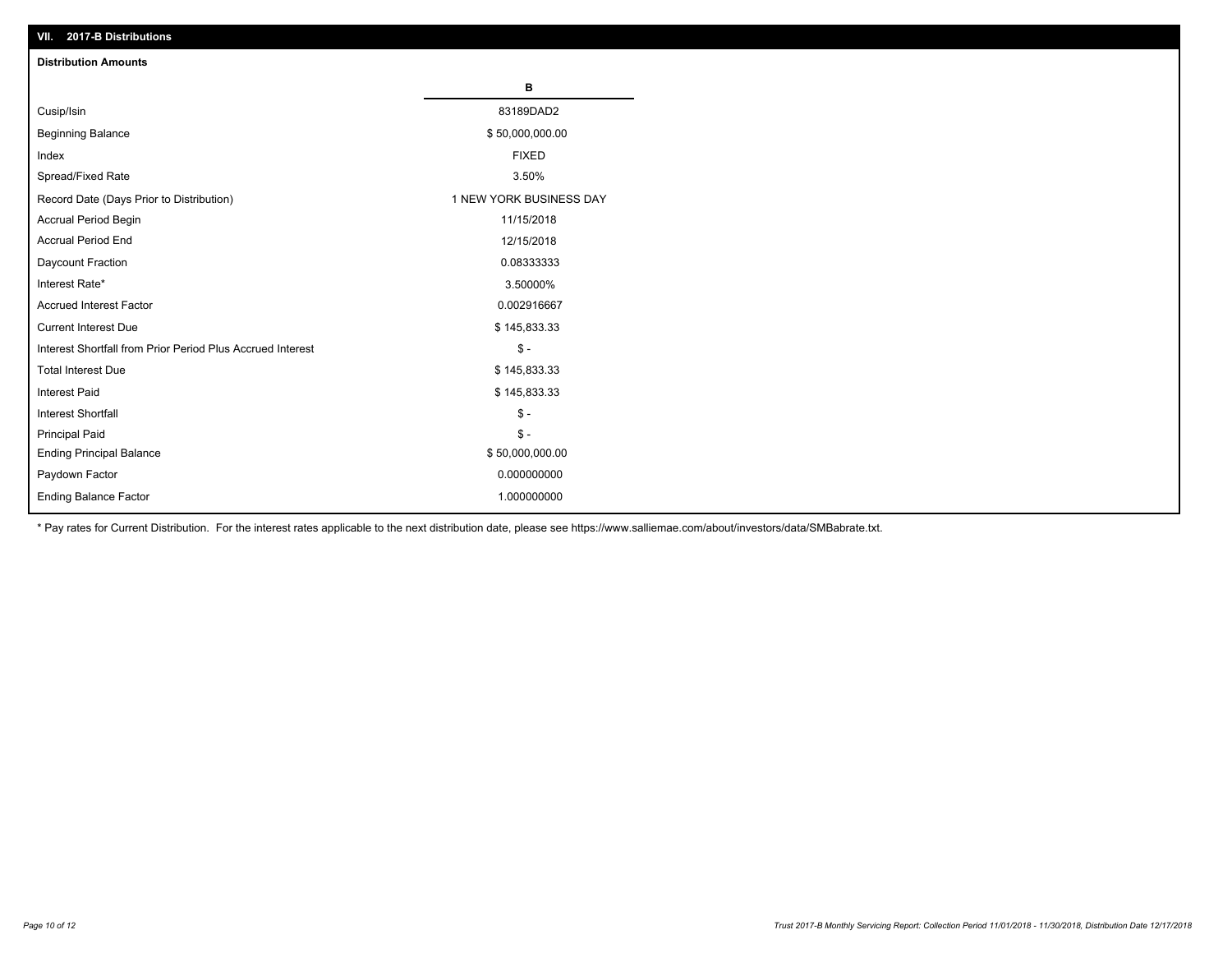| VII. 2017-B Distributions                                  |                         |
|------------------------------------------------------------|-------------------------|
| <b>Distribution Amounts</b>                                |                         |
|                                                            | в                       |
| Cusip/Isin                                                 | 83189DAD2               |
| <b>Beginning Balance</b>                                   | \$50,000,000.00         |
| Index                                                      | <b>FIXED</b>            |
| Spread/Fixed Rate                                          | 3.50%                   |
| Record Date (Days Prior to Distribution)                   | 1 NEW YORK BUSINESS DAY |
| Accrual Period Begin                                       | 11/15/2018              |
| <b>Accrual Period End</b>                                  | 12/15/2018              |
| Daycount Fraction                                          | 0.08333333              |
| Interest Rate*                                             | 3.50000%                |
| <b>Accrued Interest Factor</b>                             | 0.002916667             |
| <b>Current Interest Due</b>                                | \$145,833.33            |
| Interest Shortfall from Prior Period Plus Accrued Interest | $$ -$                   |
| <b>Total Interest Due</b>                                  | \$145,833.33            |
| Interest Paid                                              | \$145,833.33            |
| Interest Shortfall                                         | $\frac{1}{2}$           |
| <b>Principal Paid</b>                                      | $$ -$                   |
| <b>Ending Principal Balance</b>                            | \$50,000,000.00         |
| Paydown Factor                                             | 0.000000000             |
| Ending Balance Factor                                      | 1.000000000             |

\* Pay rates for Current Distribution. For the interest rates applicable to the next distribution date, please see https://www.salliemae.com/about/investors/data/SMBabrate.txt.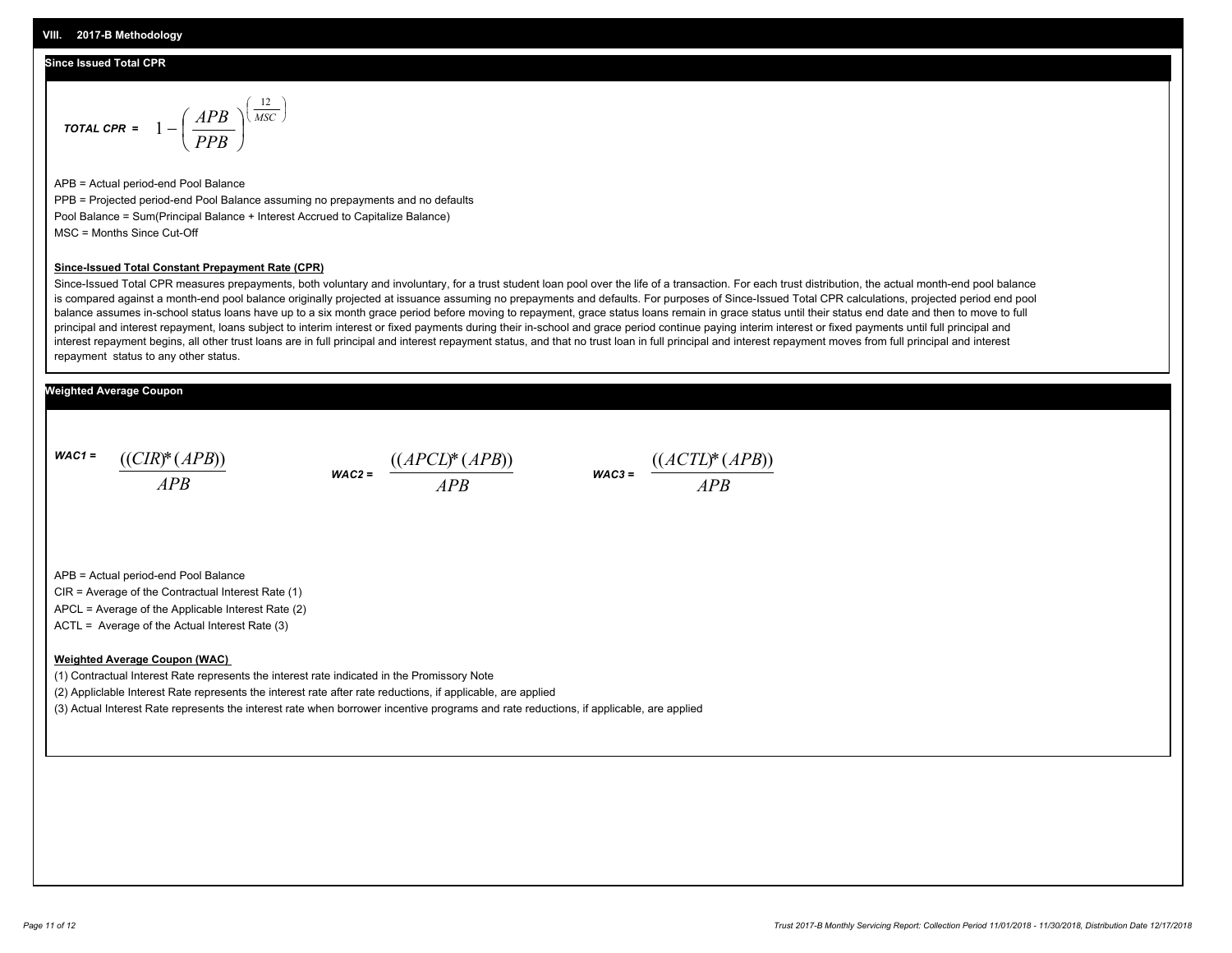### **Since Issued Total CPR**

$$
\text{total CPR} = 1 - \left(\frac{APB}{PPB}\right)^{\left(\frac{12}{MSC}\right)}
$$

APB = Actual period-end Pool Balance PPB = Projected period-end Pool Balance assuming no prepayments and no defaults Pool Balance = Sum(Principal Balance + Interest Accrued to Capitalize Balance) MSC = Months Since Cut-Off

#### **Since-Issued Total Constant Prepayment Rate (CPR)**

Since-Issued Total CPR measures prepayments, both voluntary and involuntary, for a trust student loan pool over the life of a transaction. For each trust distribution, the actual month-end pool balance is compared against a month-end pool balance originally projected at issuance assuming no prepayments and defaults. For purposes of Since-Issued Total CPR calculations, projected period end pool balance assumes in-school status loans have up to a six month grace period before moving to repayment, grace status loans remain in grace status until their status end date and then to move to full principal and interest repayment, loans subject to interim interest or fixed payments during their in-school and grace period continue paying interim interest or fixed payments until full principal and interest repayment begins, all other trust loans are in full principal and interest repayment status, and that no trust loan in full principal and interest repayment moves from full principal and interest repayment status to any other status.

### **Weighted Average Coupon**

*WAC1 = APB* ((*CIR*)\*(*APB*))

*WAC2 = APB*



APB = Actual period-end Pool Balance

CIR = Average of the Contractual Interest Rate (1)

APCL = Average of the Applicable Interest Rate (2)

ACTL = Average of the Actual Interest Rate (3)

#### **Weighted Average Coupon (WAC)**

(1) Contractual Interest Rate represents the interest rate indicated in the Promissory Note

(2) Appliclable Interest Rate represents the interest rate after rate reductions, if applicable, are applied

(3) Actual Interest Rate represents the interest rate when borrower incentive programs and rate reductions, if applicable, are applied